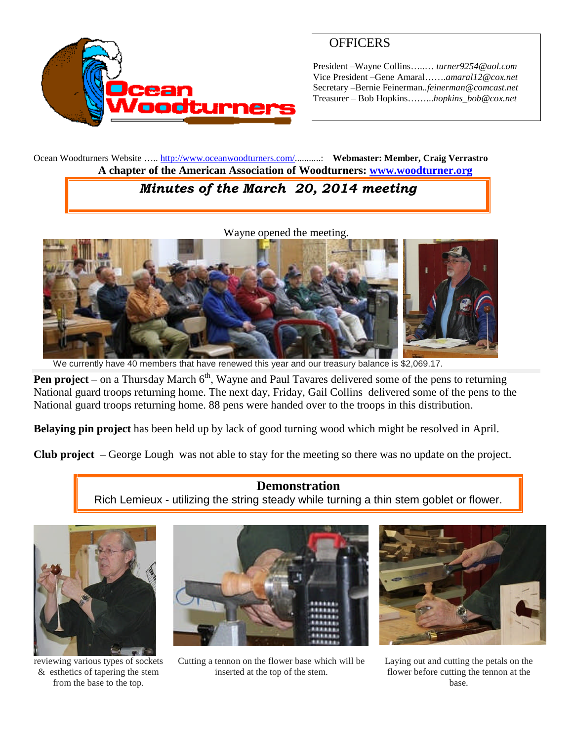

## **OFFICERS**

President –Wayne Collins…..… *turner9254@aol.com* Vice President –Gene Amaral…….*amaral12@cox.net* Secretary –Bernie Feinerman*..feinerman@comcast.net* Treasurer – Bob Hopkins……...*hopkins\_bob@cox.net*

Ocean Woodturners Website ….. <http://www.oceanwoodturners.com/>...........: **Webmaster: Member, Craig Verrastro A chapter of the American Association of Woodturners: [www.woodturner.org](http://www.woodturner.org/)**

# *Minutes of the March 20, 2014 meeting*

Wayne opened the meeting.



We currently have 40 members that have renewed this year and our treasury balance is \$2,069.17.

**Pen project** – on a Thursday March  $6<sup>th</sup>$ , Wayne and Paul Tavares delivered some of the pens to returning National guard troops returning home. The next day, Friday, Gail Collins delivered some of the pens to the National guard troops returning home. 88 pens were handed over to the troops in this distribution.

**Belaying pin project** has been held up by lack of good turning wood which might be resolved in April.

**Club project** – George Lough was not able to stay for the meeting so there was no update on the project.

**Demonstration** Rich Lemieux - utilizing the string steady while turning a thin stem goblet or flower.



reviewing various types of sockets & esthetics of tapering the stem from the base to the top.



Cutting a tennon on the flower base which will be inserted at the top of the stem.



Laying out and cutting the petals on the flower before cutting the tennon at the base.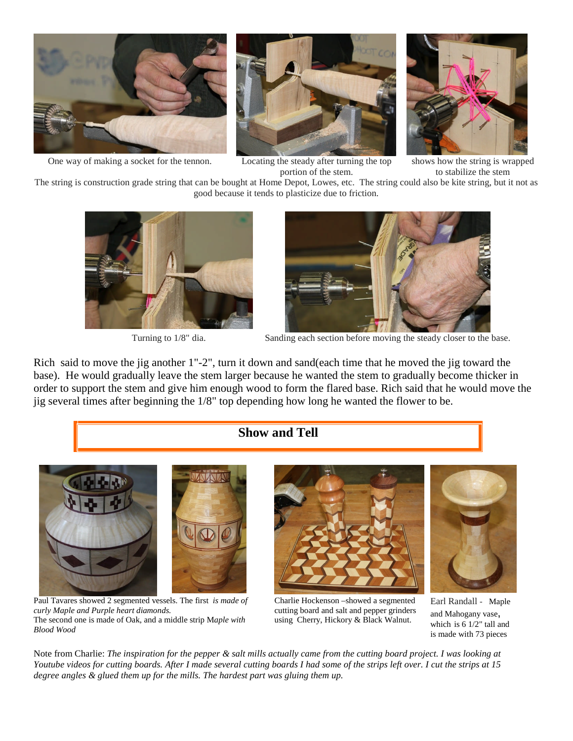

One way of making a socket for the tennon. Locating the steady after turning the top



portion of the stem.



shows how the string is wrapped to stabilize the stem

The string is construction grade string that can be bought at Home Depot, Lowes, etc. The string could also be kite string, but it not as good because it tends to plasticize due to friction.





Turning to  $1/8$ " dia. Sanding each section before moving the steady closer to the base.

Rich said to move the jig another 1"-2", turn it down and sand(each time that he moved the jig toward the base). He would gradually leave the stem larger because he wanted the stem to gradually become thicker in order to support the stem and give him enough wood to form the flared base. Rich said that he would move the jig several times after beginning the 1/8" top depending how long he wanted the flower to be.

#### **Show and Tell**



Paul Tavares showed 2 segmented vessels. The first *is made of curly Maple and Purple heart diamonds.* The second one is made of Oak, and a middle strip M*aple with Blood Wood*



Charlie Hockenson –showed a segmented cutting board and salt and pepper grinders using Cherry, Hickory & Black Walnut.

Earl Randall - Maple and Mahogany vase, which is 6 1/2" tall and is made with 73 pieces

Note from Charlie: *The inspiration for the pepper & salt mills actually came from the cutting board project. I was looking at Youtube videos for cutting boards. After I made several cutting boards I had some of the strips left over. I cut the strips at 15 degree angles & glued them up for the mills. The hardest part was gluing them up.*